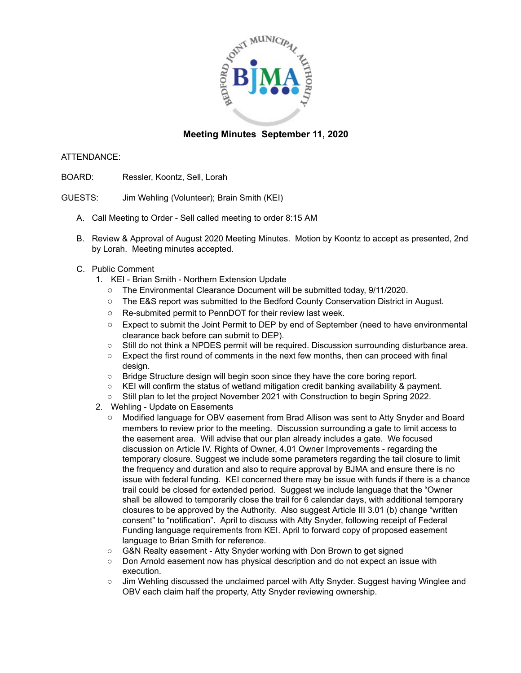

## **Meeting Minutes September 11, 2020**

#### ATTENDANCE:

- BOARD: Ressler, Koontz, Sell, Lorah
- GUESTS: Jim Wehling (Volunteer); Brain Smith (KEI)
	- A. Call Meeting to Order Sell called meeting to order 8:15 AM
	- B. Review & Approval of August 2020 Meeting Minutes. Motion by Koontz to accept as presented, 2nd by Lorah. Meeting minutes accepted.
	- C. Public Comment
		- 1. KEI Brian Smith Northern Extension Update
			- The Environmental Clearance Document will be submitted today, 9/11/2020.
			- The E&S report was submitted to the Bedford County Conservation District in August.
			- Re-submited permit to PennDOT for their review last week.
			- Expect to submit the Joint Permit to DEP by end of September (need to have environmental clearance back before can submit to DEP).
			- Still do not think a NPDES permit will be required. Discussion surrounding disturbance area.
			- Expect the first round of comments in the next few months, then can proceed with final design.
			- Bridge Structure design will begin soon since they have the core boring report.
			- KEI will confirm the status of wetland mitigation credit banking availability & payment.
			- Still plan to let the project November 2021 with Construction to begin Spring 2022.
		- 2. Wehling Update on Easements
			- Modified language for OBV easement from Brad Allison was sent to Atty Snyder and Board members to review prior to the meeting. Discussion surrounding a gate to limit access to the easement area. Will advise that our plan already includes a gate. We focused discussion on Article IV. Rights of Owner, 4.01 Owner Improvements - regarding the temporary closure. Suggest we include some parameters regarding the tail closure to limit the frequency and duration and also to require approval by BJMA and ensure there is no issue with federal funding. KEI concerned there may be issue with funds if there is a chance trail could be closed for extended period. Suggest we include language that the "Owner shall be allowed to temporarily close the trail for 6 calendar days, with additional temporary closures to be approved by the Authority. Also suggest Article III 3.01 (b) change "written consent" to "notification". April to discuss with Atty Snyder, following receipt of Federal Funding language requirements from KEI. April to forward copy of proposed easement language to Brian Smith for reference.
			- G&N Realty easement Atty Snyder working with Don Brown to get signed
			- Don Arnold easement now has physical description and do not expect an issue with execution.
			- Jim Wehling discussed the unclaimed parcel with Atty Snyder. Suggest having Winglee and OBV each claim half the property, Atty Snyder reviewing ownership.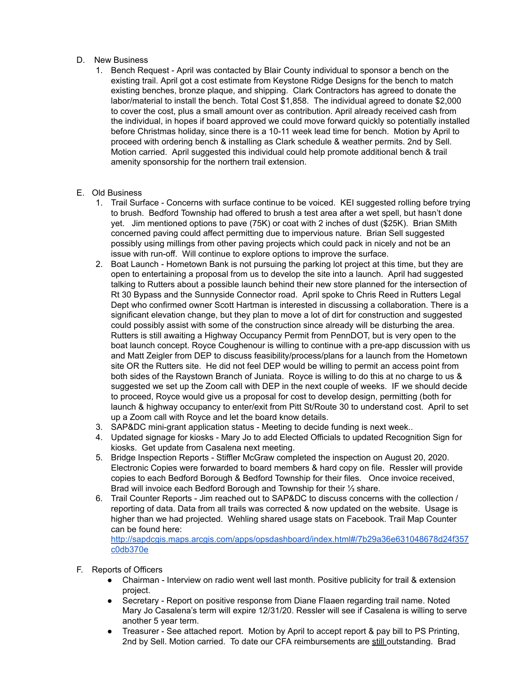#### D. New Business

1. Bench Request - April was contacted by Blair County individual to sponsor a bench on the existing trail. April got a cost estimate from Keystone Ridge Designs for the bench to match existing benches, bronze plaque, and shipping. Clark Contractors has agreed to donate the labor/material to install the bench. Total Cost \$1,858. The individual agreed to donate \$2,000 to cover the cost, plus a small amount over as contribution. April already received cash from the individual, in hopes if board approved we could move forward quickly so potentially installed before Christmas holiday, since there is a 10-11 week lead time for bench. Motion by April to proceed with ordering bench & installing as Clark schedule & weather permits. 2nd by Sell. Motion carried. April suggested this individual could help promote additional bench & trail amenity sponsorship for the northern trail extension.

### E. Old Business

- 1. Trail Surface Concerns with surface continue to be voiced. KEI suggested rolling before trying to brush. Bedford Township had offered to brush a test area after a wet spell, but hasn't done yet. Jim mentioned options to pave (75K) or coat with 2 inches of dust (\$25K). Brian SMith concerned paving could affect permitting due to impervious nature. Brian Sell suggested possibly using millings from other paving projects which could pack in nicely and not be an issue with run-off. Will continue to explore options to improve the surface.
- 2. Boat Launch Hometown Bank is not pursuing the parking lot project at this time, but they are open to entertaining a proposal from us to develop the site into a launch. April had suggested talking to Rutters about a possible launch behind their new store planned for the intersection of Rt 30 Bypass and the Sunnyside Connector road. April spoke to Chris Reed in Rutters Legal Dept who confirmed owner Scott Hartman is interested in discussing a collaboration. There is a significant elevation change, but they plan to move a lot of dirt for construction and suggested could possibly assist with some of the construction since already will be disturbing the area. Rutters is still awaiting a Highway Occupancy Permit from PennDOT, but is very open to the boat launch concept. Royce Coughenour is willing to continue with a pre-app discussion with us and Matt Zeigler from DEP to discuss feasibility/process/plans for a launch from the Hometown site OR the Rutters site. He did not feel DEP would be willing to permit an access point from both sides of the Raystown Branch of Juniata. Royce is willing to do this at no charge to us & suggested we set up the Zoom call with DEP in the next couple of weeks. IF we should decide to proceed, Royce would give us a proposal for cost to develop design, permitting (both for launch & highway occupancy to enter/exit from Pitt St/Route 30 to understand cost. April to set up a Zoom call with Royce and let the board know details.
- 3. SAP&DC mini-grant application status Meeting to decide funding is next week..
- 4. Updated signage for kiosks Mary Jo to add Elected Officials to updated Recognition Sign for kiosks. Get update from Casalena next meeting.
- 5. Bridge Inspection Reports Stiffler McGraw completed the inspection on August 20, 2020. Electronic Copies were forwarded to board members & hard copy on file. Ressler will provide copies to each Bedford Borough & Bedford Township for their files. Once invoice received, Brad will invoice each Bedford Borough and Township for their ⅓ share.
- 6. Trail Counter Reports Jim reached out to SAP&DC to discuss concerns with the collection / reporting of data. Data from all trails was corrected & now updated on the website. Usage is higher than we had projected. Wehling shared usage stats on Facebook. Trail Map Counter can be found here:

http://sapdcgis.maps.arcgis.com/apps/opsdashboard/index.html#/7b29a36e631048678d24f357 c0db370e

- F. Reports of Officers
	- Chairman Interview on radio went well last month. Positive publicity for trail & extension project.
	- Secretary Report on positive response from Diane Flaaen regarding trail name. Noted Mary Jo Casalena's term will expire 12/31/20. Ressler will see if Casalena is willing to serve another 5 year term.
	- Treasurer See attached report. Motion by April to accept report & pay bill to PS Printing, 2nd by Sell. Motion carried. To date our CFA reimbursements are still outstanding. Brad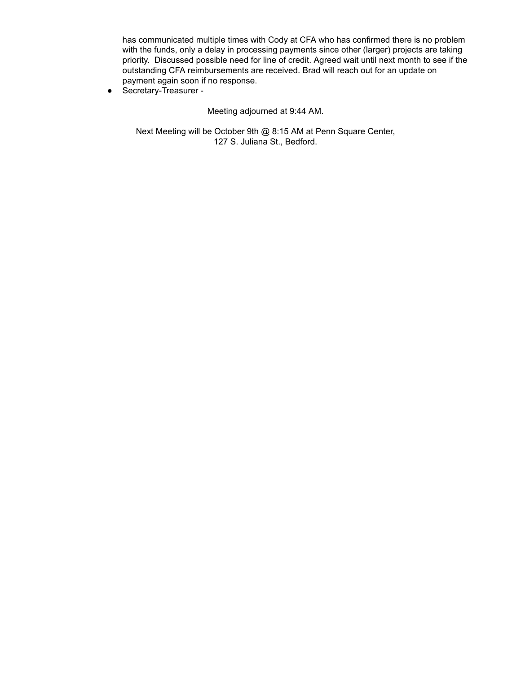has communicated multiple times with Cody at CFA who has confirmed there is no problem with the funds, only a delay in processing payments since other (larger) projects are taking priority. Discussed possible need for line of credit. Agreed wait until next month to see if the outstanding CFA reimbursements are received. Brad will reach out for an update on payment again soon if no response.

● Secretary-Treasurer -

Meeting adjourned at 9:44 AM.

Next Meeting will be October 9th @ 8:15 AM at Penn Square Center, 127 S. Juliana St., Bedford.